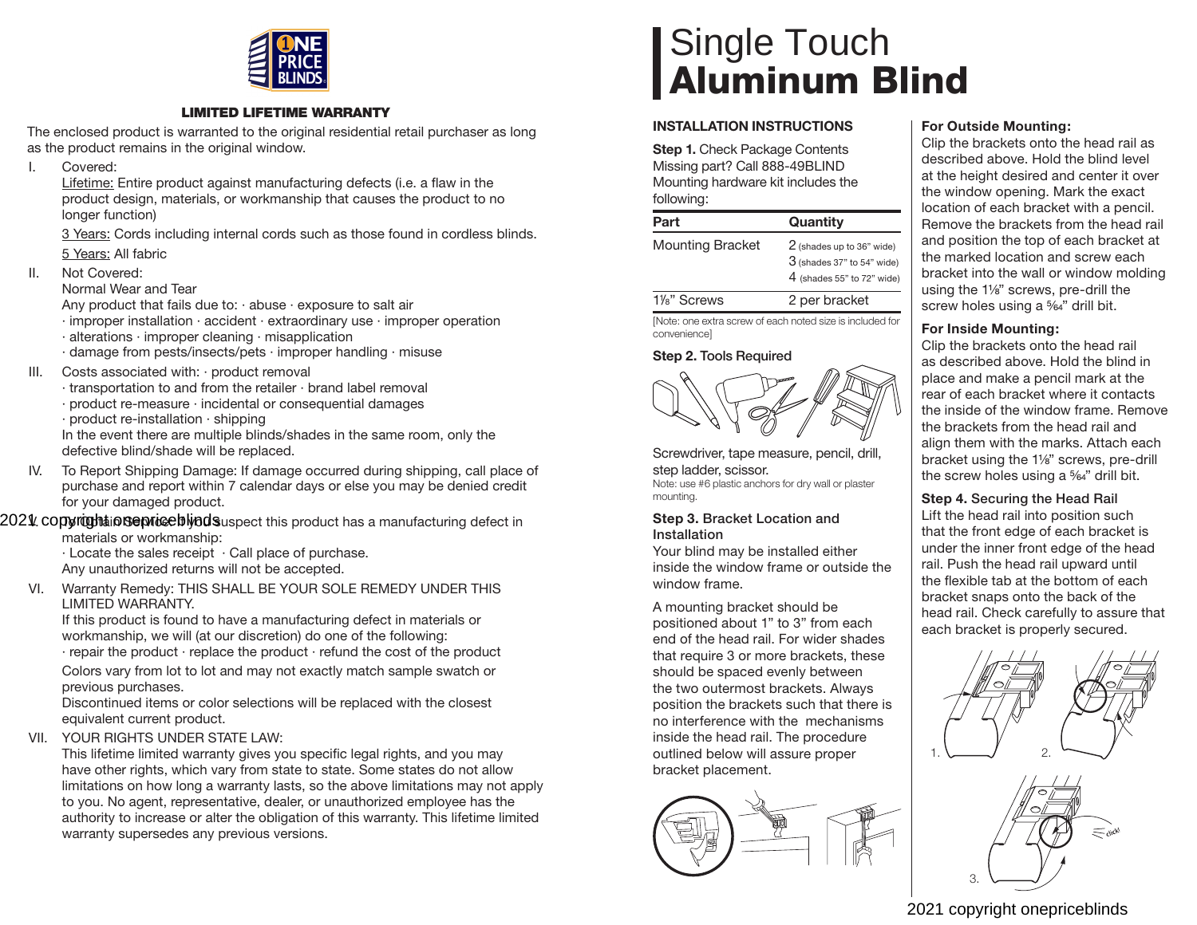

#### **LIMITED LIFETIME WARRANTY**

The enclosed product is warranted to the original residential retail purchaser as long as the product remains in the original window.

I. Covered:

Lifetime: Entire product against manufacturing defects (i.e. a flaw in the product design, materials, or workmanship that causes the product to no longer function)

 3 Years: Cords including internal cords such as those found in cordless blinds. 5 Years: All fabric

II. Not Covered:

Normal Wear and Tear

Any product that fails due to:  $\cdot$  abuse  $\cdot$  exposure to salt air

- · improper installation · accident · extraordinary use · improper operation
- · alterations · improper cleaning · misapplication
- · damage from pests/insects/pets · improper handling · misuse
- III. Costs associated with: · product removal
	- · transportation to and from the retailer · brand label removal
	- · product re-measure · incidental or consequential damages
	- · product re-installation · shipping

In the event there are multiple blinds/shades in the same room, only the defective blind/shade will be replaced.

IV. To Report Shipping Damage: If damage occurred during shipping, call place of purchase and report within 7 calendar days or else you may be denied credit for your damaged product.

2021. copyrightionsepriceblyndsuspect this product has a manufacturing defect in

materials or workmanship:

· Locate the sales receipt · Call place of purchase. Any unauthorized returns will not be accepted.

VI. Warranty Remedy: THIS SHALL BE YOUR SOLE REMEDY UNDER THIS LIMITED WARRANTY.

If this product is found to have a manufacturing defect in materials or workmanship, we will (at our discretion) do one of the following:

· repair the product · replace the product · refund the cost of the product

Colors vary from lot to lot and may not exactly match sample swatch or previous purchases.

Discontinued items or color selections will be replaced with the closest equivalent current product.

VII. YOUR RIGHTS UNDER STATE LAW:

This lifetime limited warranty gives you specific legal rights, and you may have other rights, which vary from state to state. Some states do not allow limitations on how long a warranty lasts, so the above limitations may not apply to you. No agent, representative, dealer, or unauthorized employee has the authority to increase or alter the obligation of this warranty. This lifetime limited warranty supersedes any previous versions.

# Single Touch **Aluminum Blind**

## **INSTALLATION INSTRUCTIONS**

**Step 1.** Check Package Contents Missing part? Call 888-49BLIND Mounting hardware kit includes the following:

| .                        |                                                                                           |
|--------------------------|-------------------------------------------------------------------------------------------|
| Part                     | Quantity                                                                                  |
| <b>Mounting Bracket</b>  | 2 (shades up to 36" wide)<br>$3$ (shades 37" to 54" wide)<br>$4$ (shades 55" to 72" wide) |
| 1 <sup>/8</sup> " Screws | 2 per bracket                                                                             |

[Note: one extra screw of each noted size is included for convenience]

### **Step 2. Tools Required**



Screwdriver, tape measure, pencil, drill, step ladder, scissor. Note: use #6 plastic anchors for dry wall or plaster mounting.

#### **Step 3. Bracket Location and Installation**

Your blind may be installed either inside the window frame or outside the window frame.

A mounting bracket should be positioned about 1" to 3" from each end of the head rail. For wider shades that require 3 or more brackets, these should be spaced evenly between the two outermost brackets. Always position the brackets such that there is no interference with the mechanisms inside the head rail. The procedure outlined below will assure proper bracket placement.



# **For Outside Mounting:**

Clip the brackets onto the head rail as described above. Hold the blind level at the height desired and center it over the window opening. Mark the exact location of each bracket with a pencil. Remove the brackets from the head rail and position the top of each bracket at the marked location and screw each bracket into the wall or window molding using the 1<sup>1/8"</sup> screws, pre-drill the screw holes using a <sup>5</sup>%<sup>2</sup>" drill bit.

# **For Inside Mounting:**

Clip the brackets onto the head rail as described above. Hold the blind in place and make a pencil mark at the rear of each bracket where it contacts the inside of the window frame. Remove the brackets from the head rail and align them with the marks. Attach each bracket using the 1<sup>1/8"</sup> screws, pre-drill the screw holes using a  $\frac{5}{64}$ " drill bit.

# **Step 4. Securing the Head Rail**

Lift the head rail into position such that the front edge of each bracket is under the inner front edge of the head rail. Push the head rail upward until the flexible tab at the bottom of each bracket snaps onto the back of the head rail. Check carefully to assure that each bracket is properly secured.





# 2021 copyright onepriceblinds